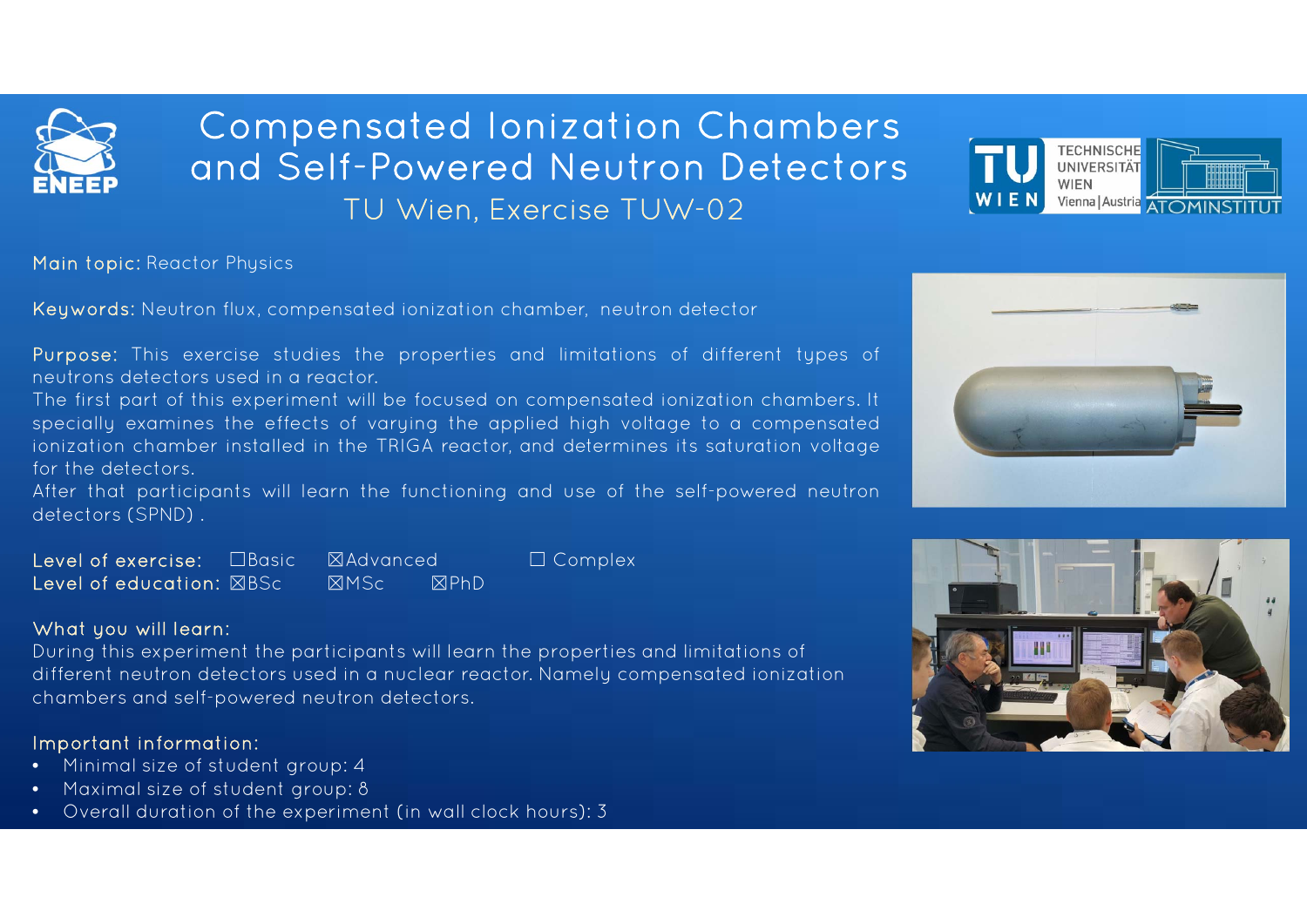

# Compensated Ionization Chambers and Self-Powered Neutron DetectorsTU Wien, Exercise TUW-02



Main topic: Reactor Physics

Keywords: Neutron flux, compensated ionization chamber, neutron detector

Purpose: This exercise studies the properties and limitations of different types of neutrons detectors used in <sup>a</sup> reactor.

The first part of this experiment will be focused on compensated ionization chambers. It specially examines the effects of varying the applied high voltage to <sup>a</sup> compensated ionization chamber installed in the TRIGA reactor, and determines its saturation voltage for the detectors.

After that participants will learn the functioning and use of the self-powered neutron detectors (SPND) .

| Level of exercise: $\Box$ Basic $\Box$ Advanced |             |         | $\Box$ Complex |
|-------------------------------------------------|-------------|---------|----------------|
| Level of education: $\boxtimes \text{BSc}$      | <b>XMSc</b> | $R$ PhD |                |

### What you will learn:

During this experiment the participants will learn the properties and limitations of different neutron detectors used in a nuclear reactor. Namely compensated ionization chambers and self-powered neutron detectors.

## Important information:

- •Minimal size of student group: 4
- •Maximal size of student group: 8
- •Overall duration of the experiment (in wall clock hours): 3